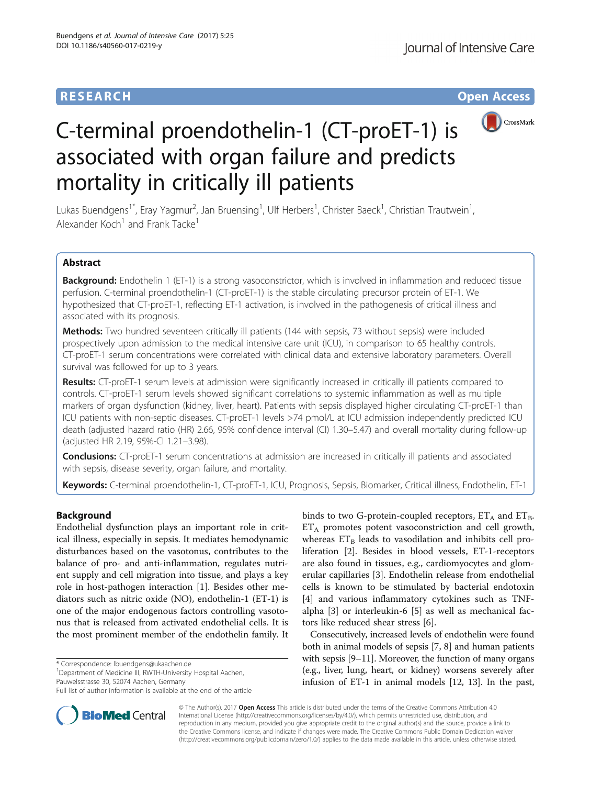# **RESEARCH CHE Open Access**



# C-terminal proendothelin-1 (CT-proET-1) is associated with organ failure and predicts mortality in critically ill patients

Lukas Buendgens<sup>1\*</sup>, Eray Yagmur<sup>2</sup>, Jan Bruensing<sup>1</sup>, Ulf Herbers<sup>1</sup>, Christer Baeck<sup>1</sup>, Christian Trautwein<sup>1</sup> , Alexander Koch<sup>1</sup> and Frank Tacke<sup>1</sup>

## Abstract

Background: Endothelin 1 (ET-1) is a strong vasoconstrictor, which is involved in inflammation and reduced tissue perfusion. C-terminal proendothelin-1 (CT-proET-1) is the stable circulating precursor protein of ET-1. We hypothesized that CT-proET-1, reflecting ET-1 activation, is involved in the pathogenesis of critical illness and associated with its prognosis.

**Methods:** Two hundred seventeen critically ill patients (144 with sepsis, 73 without sepsis) were included prospectively upon admission to the medical intensive care unit (ICU), in comparison to 65 healthy controls. CT-proET-1 serum concentrations were correlated with clinical data and extensive laboratory parameters. Overall survival was followed for up to 3 years.

Results: CT-proET-1 serum levels at admission were significantly increased in critically ill patients compared to controls. CT-proET-1 serum levels showed significant correlations to systemic inflammation as well as multiple markers of organ dysfunction (kidney, liver, heart). Patients with sepsis displayed higher circulating CT-proET-1 than ICU patients with non-septic diseases. CT-proET-1 levels >74 pmol/L at ICU admission independently predicted ICU death (adjusted hazard ratio (HR) 2.66, 95% confidence interval (CI) 1.30–5.47) and overall mortality during follow-up (adjusted HR 2.19, 95%-CI 1.21–3.98).

**Conclusions:** CT-proET-1 serum concentrations at admission are increased in critically ill patients and associated with sepsis, disease severity, organ failure, and mortality.

Keywords: C-terminal proendothelin-1, CT-proET-1, ICU, Prognosis, Sepsis, Biomarker, Critical illness, Endothelin, ET-1

## Background

Endothelial dysfunction plays an important role in critical illness, especially in sepsis. It mediates hemodynamic disturbances based on the vasotonus, contributes to the balance of pro- and anti-inflammation, regulates nutrient supply and cell migration into tissue, and plays a key role in host-pathogen interaction [\[1](#page-8-0)]. Besides other mediators such as nitric oxide (NO), endothelin-1 (ET-1) is one of the major endogenous factors controlling vasotonus that is released from activated endothelial cells. It is the most prominent member of the endothelin family. It

\* Correspondence: [lbuendgens@ukaachen.de](mailto:lbuendgens@ukaachen.de) <sup>1</sup>

<sup>1</sup>Department of Medicine III, RWTH-University Hospital Aachen, Pauwelsstrasse 30, 52074 Aachen, Germany

binds to two G-protein-coupled receptors,  $ET_A$  and  $ET_B$ .  $ET_A$  promotes potent vasoconstriction and cell growth, whereas  $ET_B$  leads to vasodilation and inhibits cell proliferation [[2\]](#page-8-0). Besides in blood vessels, ET-1-receptors are also found in tissues, e.g., cardiomyocytes and glomerular capillaries [[3\]](#page-8-0). Endothelin release from endothelial cells is known to be stimulated by bacterial endotoxin [[4\]](#page-8-0) and various inflammatory cytokines such as TNFalpha [[3](#page-8-0)] or interleukin-6 [[5\]](#page-8-0) as well as mechanical factors like reduced shear stress [[6](#page-8-0)].

Consecutively, increased levels of endothelin were found both in animal models of sepsis [[7, 8](#page-8-0)] and human patients with sepsis [[9](#page-8-0)–[11](#page-8-0)]. Moreover, the function of many organs (e.g., liver, lung, heart, or kidney) worsens severely after infusion of ET-1 in animal models [[12, 13](#page-8-0)]. In the past,



© The Author(s). 2017 **Open Access** This article is distributed under the terms of the Creative Commons Attribution 4.0 International License [\(http://creativecommons.org/licenses/by/4.0/](http://creativecommons.org/licenses/by/4.0/)), which permits unrestricted use, distribution, and reproduction in any medium, provided you give appropriate credit to the original author(s) and the source, provide a link to the Creative Commons license, and indicate if changes were made. The Creative Commons Public Domain Dedication waiver [\(http://creativecommons.org/publicdomain/zero/1.0/](http://creativecommons.org/publicdomain/zero/1.0/)) applies to the data made available in this article, unless otherwise stated.

Full list of author information is available at the end of the article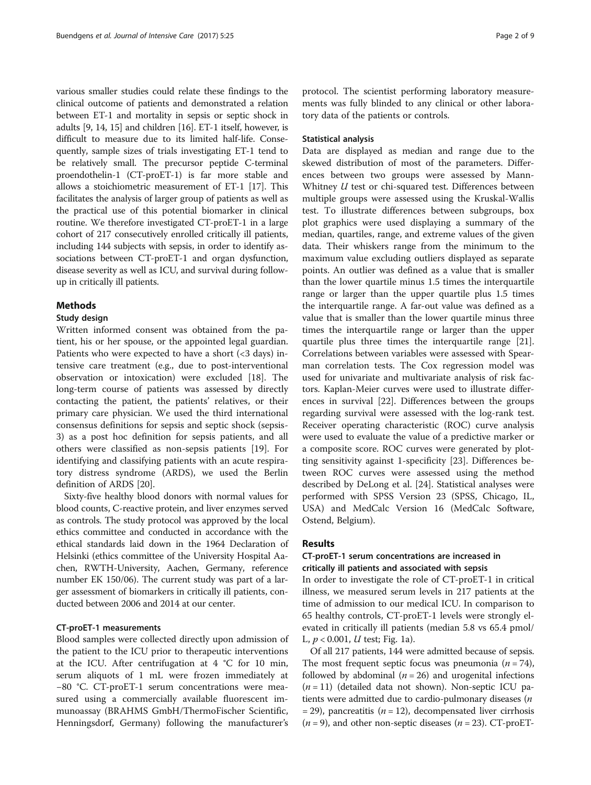various smaller studies could relate these findings to the clinical outcome of patients and demonstrated a relation between ET-1 and mortality in sepsis or septic shock in adults [[9](#page-8-0), [14, 15](#page-8-0)] and children [[16](#page-8-0)]. ET-1 itself, however, is difficult to measure due to its limited half-life. Consequently, sample sizes of trials investigating ET-1 tend to be relatively small. The precursor peptide C-terminal proendothelin-1 (CT-proET-1) is far more stable and allows a stoichiometric measurement of ET-1 [[17](#page-8-0)]. This facilitates the analysis of larger group of patients as well as the practical use of this potential biomarker in clinical routine. We therefore investigated CT-proET-1 in a large cohort of 217 consecutively enrolled critically ill patients, including 144 subjects with sepsis, in order to identify associations between CT-proET-1 and organ dysfunction, disease severity as well as ICU, and survival during followup in critically ill patients.

#### Methods

#### Study design

Written informed consent was obtained from the patient, his or her spouse, or the appointed legal guardian. Patients who were expected to have a short  $($  3 days) intensive care treatment (e.g., due to post-interventional observation or intoxication) were excluded [\[18](#page-8-0)]. The long-term course of patients was assessed by directly contacting the patient, the patients' relatives, or their primary care physician. We used the third international consensus definitions for sepsis and septic shock (sepsis-3) as a post hoc definition for sepsis patients, and all others were classified as non-sepsis patients [\[19](#page-8-0)]. For identifying and classifying patients with an acute respiratory distress syndrome (ARDS), we used the Berlin definition of ARDS [\[20\]](#page-8-0).

Sixty-five healthy blood donors with normal values for blood counts, C-reactive protein, and liver enzymes served as controls. The study protocol was approved by the local ethics committee and conducted in accordance with the ethical standards laid down in the 1964 Declaration of Helsinki (ethics committee of the University Hospital Aachen, RWTH-University, Aachen, Germany, reference number EK 150/06). The current study was part of a larger assessment of biomarkers in critically ill patients, conducted between 2006 and 2014 at our center.

## CT-proET-1 measurements

Blood samples were collected directly upon admission of the patient to the ICU prior to therapeutic interventions at the ICU. After centrifugation at 4 °C for 10 min, serum aliquots of 1 mL were frozen immediately at −80 °C. CT-proET-1 serum concentrations were measured using a commercially available fluorescent immunoassay (BRAHMS GmbH/ThermoFischer Scientific, Henningsdorf, Germany) following the manufacturer's

protocol. The scientist performing laboratory measurements was fully blinded to any clinical or other laboratory data of the patients or controls.

## Statistical analysis

Data are displayed as median and range due to the skewed distribution of most of the parameters. Differences between two groups were assessed by Mann-Whitney *U* test or chi-squared test. Differences between multiple groups were assessed using the Kruskal-Wallis test. To illustrate differences between subgroups, box plot graphics were used displaying a summary of the median, quartiles, range, and extreme values of the given data. Their whiskers range from the minimum to the maximum value excluding outliers displayed as separate points. An outlier was defined as a value that is smaller than the lower quartile minus 1.5 times the interquartile range or larger than the upper quartile plus 1.5 times the interquartile range. A far-out value was defined as a value that is smaller than the lower quartile minus three times the interquartile range or larger than the upper quartile plus three times the interquartile range [\[21](#page-8-0)]. Correlations between variables were assessed with Spearman correlation tests. The Cox regression model was used for univariate and multivariate analysis of risk factors. Kaplan-Meier curves were used to illustrate differences in survival [\[22\]](#page-8-0). Differences between the groups regarding survival were assessed with the log-rank test. Receiver operating characteristic (ROC) curve analysis were used to evaluate the value of a predictive marker or a composite score. ROC curves were generated by plotting sensitivity against 1-specificity [[23\]](#page-8-0). Differences between ROC curves were assessed using the method described by DeLong et al. [[24\]](#page-8-0). Statistical analyses were performed with SPSS Version 23 (SPSS, Chicago, IL, USA) and MedCalc Version 16 (MedCalc Software, Ostend, Belgium).

#### Results

## CT-proET-1 serum concentrations are increased in critically ill patients and associated with sepsis

In order to investigate the role of CT-proET-1 in critical illness, we measured serum levels in 217 patients at the time of admission to our medical ICU. In comparison to 65 healthy controls, CT-proET-1 levels were strongly elevated in critically ill patients (median 5.8 vs 65.4 pmol/ L,  $p < 0.001$ , U test; Fig. [1a](#page-2-0)).

Of all 217 patients, 144 were admitted because of sepsis. The most frequent septic focus was pneumonia ( $n = 74$ ), followed by abdominal ( $n = 26$ ) and urogenital infections  $(n = 11)$  (detailed data not shown). Non-septic ICU patients were admitted due to cardio-pulmonary diseases (n  $=$  29), pancreatitis ( $n = 12$ ), decompensated liver cirrhosis  $(n = 9)$ , and other non-septic diseases  $(n = 23)$ . CT-proET-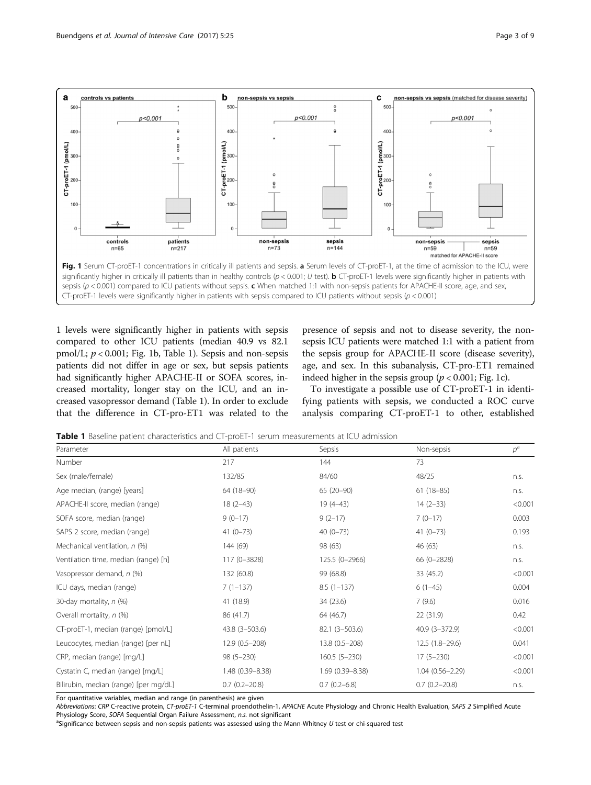<span id="page-2-0"></span>

1 levels were significantly higher in patients with sepsis compared to other ICU patients (median 40.9 vs 82.1 pmol/L;  $p < 0.001$ ; Fig. 1b, Table 1). Sepsis and non-sepsis patients did not differ in age or sex, but sepsis patients had significantly higher APACHE-II or SOFA scores, increased mortality, longer stay on the ICU, and an increased vasopressor demand (Table 1). In order to exclude that the difference in CT-pro-ET1 was related to the

presence of sepsis and not to disease severity, the nonsepsis ICU patients were matched 1:1 with a patient from the sepsis group for APACHE-II score (disease severity), age, and sex. In this subanalysis, CT-pro-ET1 remained indeed higher in the sepsis group ( $p < 0.001$ ; Fig. 1c).

To investigate a possible use of CT-proET-1 in identifying patients with sepsis, we conducted a ROC curve analysis comparing CT-proET-1 to other, established

**Table 1** Baseline patient characteristics and CT-proET-1 serum measurements at ICU admission

| Parameter                             | All patients        | Sepsis              | Non-sepsis          | $p^{\rm a}$ |
|---------------------------------------|---------------------|---------------------|---------------------|-------------|
| Number                                | 217                 | 144                 | 73                  |             |
| Sex (male/female)                     | 132/85              | 84/60               | 48/25               | n.s.        |
| Age median, (range) [years]           | 64 (18-90)          | 65 (20-90)          | $61(18-85)$         | n.s.        |
| APACHE-II score, median (range)       | $18(2-43)$          | $19(4-43)$          | $14(2-33)$          | < 0.001     |
| SOFA score, median (range)            | $9(0-17)$           | $9(2-17)$           | $7(0-17)$           | 0.003       |
| SAPS 2 score, median (range)          | $41(0-73)$          | $40(0-73)$          | $41(0-73)$          | 0.193       |
| Mechanical ventilation, n (%)         | 144 (69)            | 98 (63)             | 46 (63)             | n.s.        |
| Ventilation time, median (range) [h]  | 117 (0-3828)        | 125.5 (0-2966)      | 66 (0-2828)         | n.s.        |
| Vasopressor demand, n (%)             | 132 (60.8)          | 99 (68.8)           | 33 (45.2)           | < 0.001     |
| ICU days, median (range)              | $7(1-137)$          | $8.5(1-137)$        | $6(1-45)$           | 0.004       |
| 30-day mortality, n (%)               | 41 (18.9)           | 34 (23.6)           | 7(9.6)              | 0.016       |
| Overall mortality, n (%)              | 86 (41.7)           | 64 (46.7)           | 22 (31.9)           | 0.42        |
| CT-proET-1, median (range) [pmol/L]   | $43.8(3 - 503.6)$   | $82.1(3 - 503.6)$   | $40.9(3 - 372.9)$   | < 0.001     |
| Leucocytes, median (range) [per nL]   | $12.9(0.5 - 208)$   | $13.8(0.5 - 208)$   | $12.5(1.8-29.6)$    | 0.041       |
| CRP, median (range) [mg/L]            | $98(5 - 230)$       | $160.5(5-230)$      | $17(5 - 230)$       | < 0.001     |
| Cystatin C, median (range) [mg/L]     | $1.48(0.39 - 8.38)$ | $1.69(0.39 - 8.38)$ | $1.04(0.56 - 2.29)$ | < 0.001     |
| Bilirubin, median (range) [per mg/dL] | $0.7(0.2 - 20.8)$   | $0.7(0.2 - 6.8)$    | $0.7(0.2 - 20.8)$   | n.s.        |

For quantitative variables, median and range (in parenthesis) are given

Abbreviations: CRP C-reactive protein, CT-proET-1 C-terminal proendothelin-1, APACHE Acute Physiology and Chronic Health Evaluation, SAPS 2 Simplified Acute Physiology Score, SOFA Sequential Organ Failure Assessment, n.s. not significant

 $a$ Significance between sepsis and non-sepsis patients was assessed using the Mann-Whitney U test or chi-squared test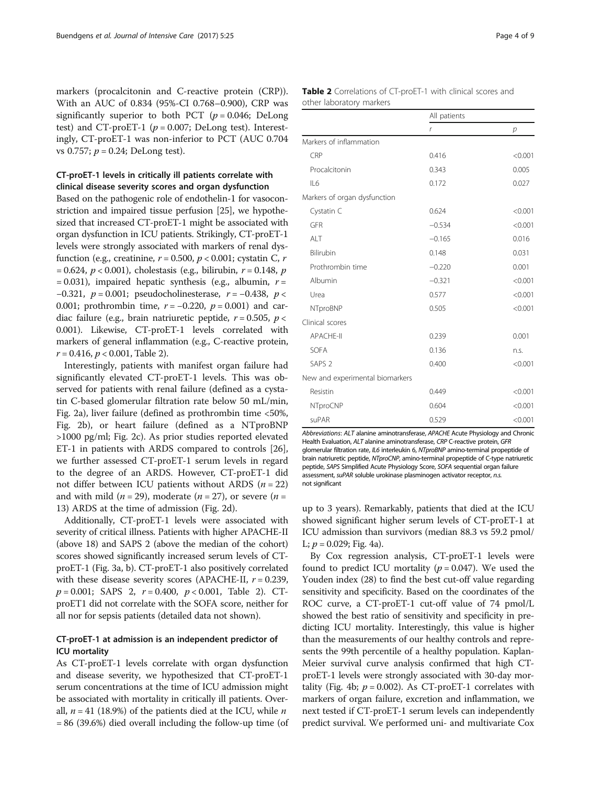markers (procalcitonin and C-reactive protein (CRP)). With an AUC of 0.834 (95%-CI 0.768–0.900), CRP was significantly superior to both PCT ( $p = 0.046$ ; DeLong test) and CT-proET-1 ( $p = 0.007$ ; DeLong test). Interestingly, CT-proET-1 was non-inferior to PCT (AUC 0.704 vs 0.757;  $p = 0.24$ ; DeLong test).

## CT-proET-1 levels in critically ill patients correlate with clinical disease severity scores and organ dysfunction

Based on the pathogenic role of endothelin-1 for vasoconstriction and impaired tissue perfusion [\[25](#page-8-0)], we hypothesized that increased CT-proET-1 might be associated with organ dysfunction in ICU patients. Strikingly, CT-proET-1 levels were strongly associated with markers of renal dysfunction (e.g., creatinine,  $r = 0.500$ ,  $p < 0.001$ ; cystatin C, r  $= 0.624, p < 0.001$ ), cholestasis (e.g., bilirubin,  $r = 0.148, p$  $= 0.031$ ), impaired hepatic synthesis (e.g., albumin,  $r =$ −0.321,  $p = 0.001$ ; pseudocholinesterase,  $r = -0.438$ ,  $p <$ 0.001; prothrombin time,  $r = -0.220$ ,  $p = 0.001$ ) and cardiac failure (e.g., brain natriuretic peptide,  $r = 0.505$ ,  $p <$ 0.001). Likewise, CT-proET-1 levels correlated with markers of general inflammation (e.g., C-reactive protein,  $r = 0.416$ ,  $p < 0.001$ , Table 2).

Interestingly, patients with manifest organ failure had significantly elevated CT-proET-1 levels. This was observed for patients with renal failure (defined as a cystatin C-based glomerular filtration rate below 50 mL/min, Fig. [2a\)](#page-4-0), liver failure (defined as prothrombin time <50%, Fig. [2b](#page-4-0)), or heart failure (defined as a NTproBNP >1000 pg/ml; Fig. [2c\)](#page-4-0). As prior studies reported elevated ET-1 in patients with ARDS compared to controls [\[26](#page-8-0)], we further assessed CT-proET-1 serum levels in regard to the degree of an ARDS. However, CT-proET-1 did not differ between ICU patients without ARDS  $(n = 22)$ and with mild ( $n = 29$ ), moderate ( $n = 27$ ), or severe ( $n =$ 13) ARDS at the time of admission (Fig. [2d\)](#page-4-0).

Additionally, CT-proET-1 levels were associated with severity of critical illness. Patients with higher APACHE-II (above 18) and SAPS 2 (above the median of the cohort) scores showed significantly increased serum levels of CTproET-1 (Fig. [3a, b\)](#page-5-0). CT-proET-1 also positively correlated with these disease severity scores (APACHE-II,  $r = 0.239$ ,  $p = 0.001$ ; SAPS 2,  $r = 0.400$ ,  $p < 0.001$ , Table 2). CTproET1 did not correlate with the SOFA score, neither for all nor for sepsis patients (detailed data not shown).

## CT-proET-1 at admission is an independent predictor of ICU mortality

As CT-proET-1 levels correlate with organ dysfunction and disease severity, we hypothesized that CT-proET-1 serum concentrations at the time of ICU admission might be associated with mortality in critically ill patients. Overall,  $n = 41$  (18.9%) of the patients died at the ICU, while n = 86 (39.6%) died overall including the follow-up time (of

| <b>Table 2</b> Correlations of CT-proET-1 with clinical scores and |  |  |
|--------------------------------------------------------------------|--|--|
| other laboratory markers                                           |  |  |

|                                 | All patients |                |
|---------------------------------|--------------|----------------|
|                                 | $\mathsf{r}$ | $\overline{p}$ |
| Markers of inflammation         |              |                |
| CRP                             | 0.416        | < 0.001        |
| Procalcitonin                   | 0.343        | 0.005          |
| IL6                             | 0.172        | 0.027          |
| Markers of organ dysfunction    |              |                |
| Cystatin C                      | 0.624        | < 0.001        |
| GFR                             | $-0.534$     | < 0.001        |
| ALT                             | $-0.165$     | 0.016          |
| Bilirubin                       | 0.148        | 0.031          |
| Prothrombin time                | $-0.220$     | 0.001          |
| Albumin                         | $-0.321$     | < 0.001        |
| Urea                            | 0.577        | < 0.001        |
| NTproBNP                        | 0.505        | < 0.001        |
| Clinical scores                 |              |                |
| <b>APACHE-II</b>                | 0.239        | 0.001          |
| <b>SOFA</b>                     | 0.136        | n.s.           |
| SAPS <sub>2</sub>               | 0.400        | < 0.001        |
| New and experimental biomarkers |              |                |
| Resistin                        | 0.449        | < 0.001        |
| NTproCNP                        | 0.604        | < 0.001        |
| suPAR                           | 0.529        | < 0.001        |

Abbreviations: ALT alanine aminotransferase, APACHE Acute Physiology and Chronic Health Evaluation, ALT alanine aminotransferase, CRP C-reactive protein, GFR glomerular filtration rate, IL6 interleukin 6, NTproBNP amino-terminal propeptide of brain natriuretic peptide, NTproCNP, amino-terminal propeptide of C-type natriuretic peptide, SAPS Simplified Acute Physiology Score, SOFA sequential organ failure assessment, suPAR soluble urokinase plasminogen activator receptor, n.s. not significant

up to 3 years). Remarkably, patients that died at the ICU showed significant higher serum levels of CT-proET-1 at ICU admission than survivors (median 88.3 vs 59.2 pmol/ L;  $p = 0.029$ ; Fig. [4a](#page-5-0)).

By Cox regression analysis, CT-proET-1 levels were found to predict ICU mortality ( $p = 0.047$ ). We used the Youden index (28) to find the best cut-off value regarding sensitivity and specificity. Based on the coordinates of the ROC curve, a CT-proET-1 cut-off value of 74 pmol/L showed the best ratio of sensitivity and specificity in predicting ICU mortality. Interestingly, this value is higher than the measurements of our healthy controls and represents the 99th percentile of a healthy population. Kaplan-Meier survival curve analysis confirmed that high CTproET-1 levels were strongly associated with 30-day mor-tality (Fig. [4b](#page-5-0);  $p = 0.002$ ). As CT-proET-1 correlates with markers of organ failure, excretion and inflammation, we next tested if CT-proET-1 serum levels can independently predict survival. We performed uni- and multivariate Cox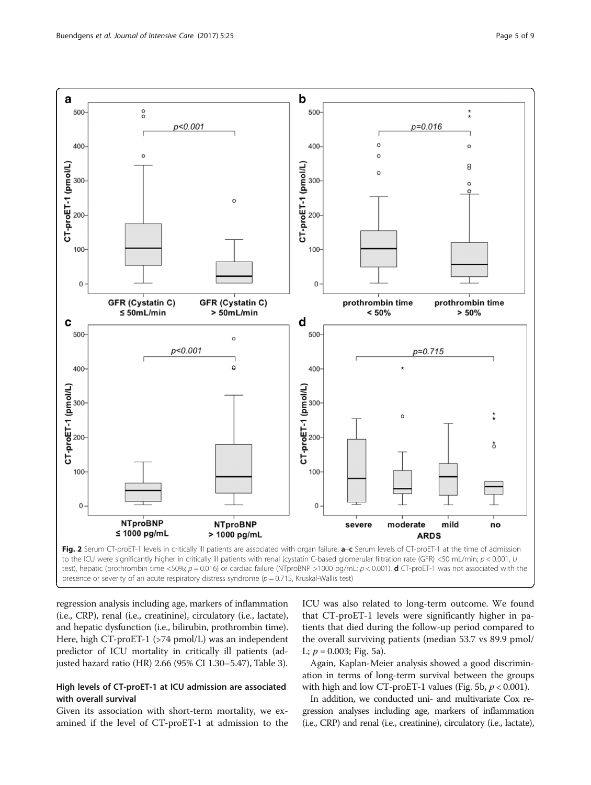<span id="page-4-0"></span>

presence or severity of an acute respiratory distress syndrome ( $p = 0.715$ , Kruskal-Wallis test)

regression analysis including age, markers of inflammation (i.e., CRP), renal (i.e., creatinine), circulatory (i.e., lactate), and hepatic dysfunction (i.e., bilirubin, prothrombin time). Here, high CT-proET-1 (>74 pmol/L) was an independent predictor of ICU mortality in critically ill patients (adjusted hazard ratio (HR) 2.66 (95% CI 1.30–5.47), Table [3\)](#page-6-0).

## High levels of CT-proET-1 at ICU admission are associated with overall survival

Given its association with short-term mortality, we examined if the level of CT-proET-1 at admission to the ICU was also related to long-term outcome. We found that CT-proET-1 levels were significantly higher in patients that died during the follow-up period compared to the overall surviving patients (median 53.7 vs 89.9 pmol/ L;  $p = 0.003$ ; Fig. [5a\)](#page-6-0).

Again, Kaplan-Meier analysis showed a good discrimination in terms of long-term survival between the groups with high and low CT-proET-1 values (Fig. [5b](#page-6-0),  $p < 0.001$ ).

In addition, we conducted uni- and multivariate Cox regression analyses including age, markers of inflammation (i.e., CRP) and renal (i.e., creatinine), circulatory (i.e., lactate),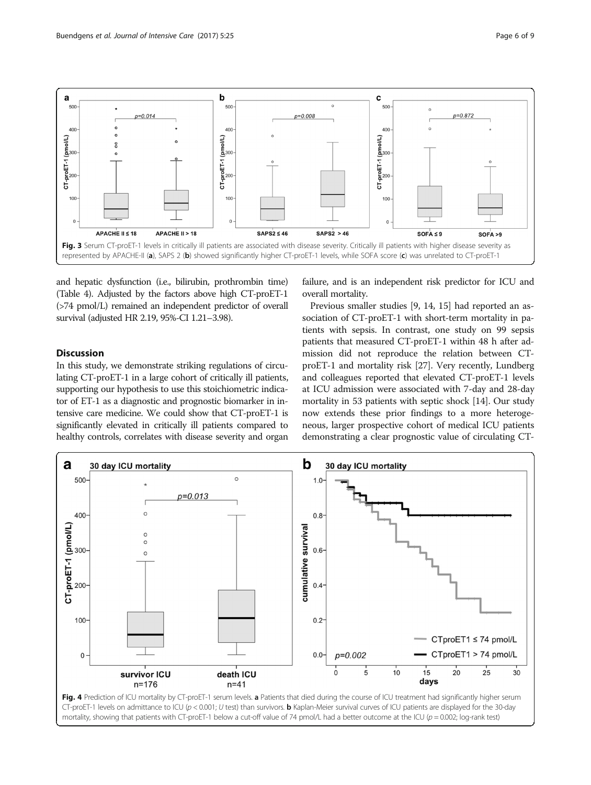<span id="page-5-0"></span>

and hepatic dysfunction (i.e., bilirubin, prothrombin time) (Table [4](#page-7-0)). Adjusted by the factors above high CT-proET-1 (>74 pmol/L) remained an independent predictor of overall survival (adjusted HR 2.19, 95%-CI 1.21–3.98).

## **Discussion**

In this study, we demonstrate striking regulations of circulating CT-proET-1 in a large cohort of critically ill patients, supporting our hypothesis to use this stoichiometric indicator of ET-1 as a diagnostic and prognostic biomarker in intensive care medicine. We could show that CT-proET-1 is significantly elevated in critically ill patients compared to healthy controls, correlates with disease severity and organ

failure, and is an independent risk predictor for ICU and overall mortality.

Previous smaller studies [[9, 14, 15\]](#page-8-0) had reported an association of CT-proET-1 with short-term mortality in patients with sepsis. In contrast, one study on 99 sepsis patients that measured CT-proET-1 within 48 h after admission did not reproduce the relation between CTproET-1 and mortality risk [\[27](#page-8-0)]. Very recently, Lundberg and colleagues reported that elevated CT-proET-1 levels at ICU admission were associated with 7-day and 28-day mortality in 53 patients with septic shock [\[14](#page-8-0)]. Our study now extends these prior findings to a more heterogeneous, larger prospective cohort of medical ICU patients demonstrating a clear prognostic value of circulating CT-

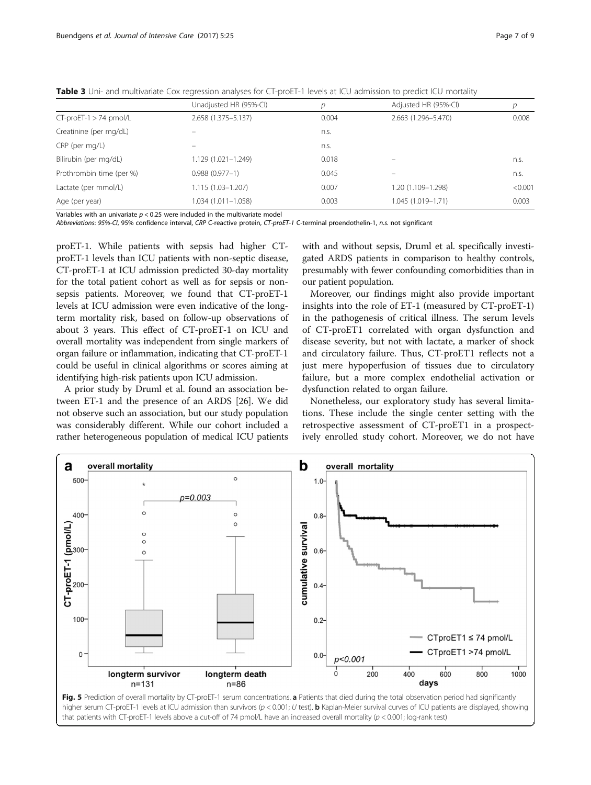|                           | Unadjusted HR (95%-CI) | D     | Adjusted HR (95%-CI) | р       |
|---------------------------|------------------------|-------|----------------------|---------|
| $CT$ -proET-1 > 74 pmol/L | 2.658 (1.375 - 5.137)  | 0.004 | 2.663 (1.296-5.470)  | 0.008   |
| Creatinine (per mg/dL)    |                        | n.s.  |                      |         |
| CRP (per mg/L)            |                        | n.s.  |                      |         |
| Bilirubin (per mg/dL)     | $1.129(1.021 - 1.249)$ | 0.018 |                      | n.s.    |
| Prothrombin time (per %)  | $0.988(0.977 - 1)$     | 0.045 |                      | n.s.    |
| Lactate (per mmol/L)      | 1.115 (1.03-1.207)     | 0.007 | 1.20 (1.109-1.298)   | < 0.001 |
| Age (per year)            | 1.034 (1.011-1.058)    | 0.003 | 1.045 (1.019-1.71)   | 0.003   |

<span id="page-6-0"></span>Table 3 Uni- and multivariate Cox regression analyses for CT-proET-1 levels at ICU admission to predict ICU mortality

Variables with an univariate  $p < 0.25$  were included in the multivariate model

Abbreviations: 95%-CI, 95% confidence interval, CRP C-reactive protein, CT-proET-1 C-terminal proendothelin-1, n.s. not significant

proET-1. While patients with sepsis had higher CTproET-1 levels than ICU patients with non-septic disease, CT-proET-1 at ICU admission predicted 30-day mortality for the total patient cohort as well as for sepsis or nonsepsis patients. Moreover, we found that CT-proET-1 levels at ICU admission were even indicative of the longterm mortality risk, based on follow-up observations of about 3 years. This effect of CT-proET-1 on ICU and overall mortality was independent from single markers of organ failure or inflammation, indicating that CT-proET-1 could be useful in clinical algorithms or scores aiming at identifying high-risk patients upon ICU admission.

A prior study by Druml et al. found an association between ET-1 and the presence of an ARDS [[26](#page-8-0)]. We did not observe such an association, but our study population was considerably different. While our cohort included a rather heterogeneous population of medical ICU patients

with and without sepsis, Druml et al. specifically investigated ARDS patients in comparison to healthy controls, presumably with fewer confounding comorbidities than in our patient population.

Moreover, our findings might also provide important insights into the role of ET-1 (measured by CT-proET-1) in the pathogenesis of critical illness. The serum levels of CT-proET1 correlated with organ dysfunction and disease severity, but not with lactate, a marker of shock and circulatory failure. Thus, CT-proET1 reflects not a just mere hypoperfusion of tissues due to circulatory failure, but a more complex endothelial activation or dysfunction related to organ failure.

Nonetheless, our exploratory study has several limitations. These include the single center setting with the retrospective assessment of CT-proET1 in a prospectively enrolled study cohort. Moreover, we do not have



Fig. 5 Prediction of overall mortality by CT-proET-1 serum concentrations. a Patients that died during the total observation period had significantly higher serum CT-proET-1 levels at ICU admission than survivors ( $p < 0.001$ ; U test). **b** Kaplan-Meier survival curves of ICU patients are displayed, showing that patients with CT-proET-1 levels above a cut-off of 74 pmol/L have an increased overall mortality (p < 0.001; log-rank test)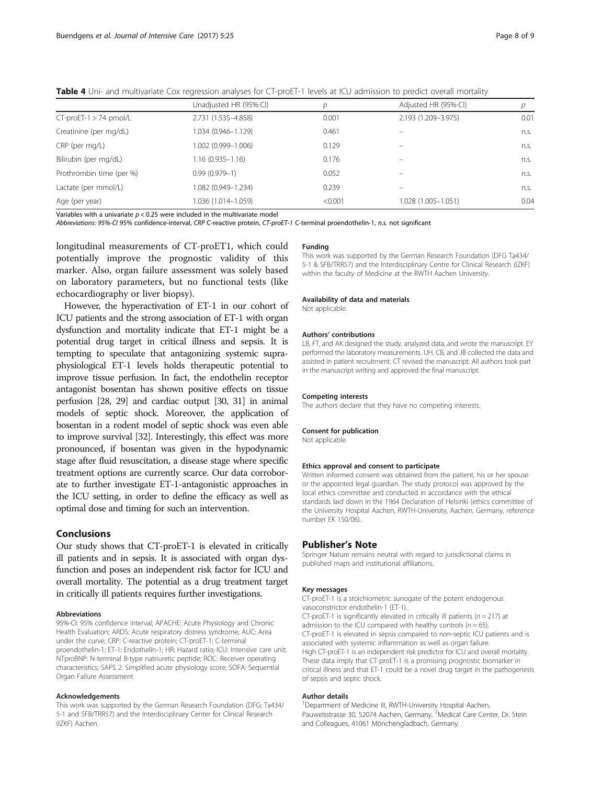|                           | Unadjusted HR (95%-CI) | D       | Adjusted HR (95%-CI) |      |
|---------------------------|------------------------|---------|----------------------|------|
| $CT$ -proET-1 > 74 pmol/L | 2.731 (1.535-4.858)    | 0.001   | 2.193 (1.209-3.975)  | 0.01 |
| Creatinine (per mg/dL)    | 1.034 (0.946-1.129)    | 0.461   |                      | n.s. |
| CRP (per mg/L)            | 1.002 (0.999-1.006)    | 0.129   |                      | n.s. |
| Bilirubin (per mg/dL)     | $1.16(0.935 - 1.16)$   | 0.176   |                      | n.s. |
| Prothrombin time (per %)  | $0.99(0.979 - 1)$      | 0.052   |                      | n.s. |
| Lactate (per mmol/L)      | 1.082 (0.949-1.234)    | 0.239   |                      | n.s. |
| Age (per year)            | 1.036 (1.014-1.059)    | < 0.001 | 1.028 (1.005-1.051)  | 0.04 |

<span id="page-7-0"></span>Table 4 Uni- and multivariate Cox regression analyses for CT-proET-1 levels at ICU admission to predict overall mortality

Variables with a univariate  $p < 0.25$  were included in the multivariate model

Abbreviations: 95%-CI 95% confidence-interval, CRP C-reactive protein, CT-proET-1 C-terminal proendothelin-1, n.s. not significant

longitudinal measurements of CT-proET1, which could potentially improve the prognostic validity of this marker. Also, organ failure assessment was solely based on laboratory parameters, but no functional tests (like echocardiography or liver biopsy).

However, the hyperactivation of ET-1 in our cohort of ICU patients and the strong association of ET-1 with organ dysfunction and mortality indicate that ET-1 might be a potential drug target in critical illness and sepsis. It is tempting to speculate that antagonizing systemic supraphysiological ET-1 levels holds therapeutic potential to improve tissue perfusion. In fact, the endothelin receptor antagonist bosentan has shown positive effects on tissue perfusion [\[28](#page-8-0), [29](#page-8-0)] and cardiac output [\[30](#page-8-0), [31](#page-8-0)] in animal models of septic shock. Moreover, the application of bosentan in a rodent model of septic shock was even able to improve survival [\[32\]](#page-8-0). Interestingly, this effect was more pronounced, if bosentan was given in the hypodynamic stage after fluid resuscitation, a disease stage where specific treatment options are currently scarce. Our data corroborate to further investigate ET-1-antagonistic approaches in the ICU setting, in order to define the efficacy as well as optimal dose and timing for such an intervention.

## Conclusions

Our study shows that CT-proET-1 is elevated in critically ill patients and in sepsis. It is associated with organ dysfunction and poses an independent risk factor for ICU and overall mortality. The potential as a drug treatment target in critically ill patients requires further investigations.

#### Abbreviations

95%-CI: 95% confidence interval; APACHE: Acute Physiology and Chronic Health Evaluation; ARDS: Acute respiratory distress syndrome; AUC: Area under the curve; CRP: C-reactive protein; CT-proET-1: C-terminal proendothelin-1; ET-1: Endothelin-1; HR: Hazard ratio; ICU: Intensive care unit; NTproBNP: N-terminal B-type natriuretic peptide; ROC: Receiver operating characteristics; SAPS 2: Simplified acute physiology score; SOFA: Sequential Organ Failure Assessment

#### Acknowledgements

This work was supported by the German Research Foundation (DFG; Ta434/ 5-1 and SFB/TRR57) and the Interdisciplinary Center for Clinical Research (IZKF) Aachen.

#### Funding

This work was supported by the German Research Foundation (DFG Ta434/ 5-1 & SFB/TRR57) and the Interdisciplinary Centre for Clinical Research (IZKF) within the faculty of Medicine at the RWTH Aachen University.

#### Availability of data and materials

Not applicable.

#### Authors' contributions

LB, FT, and AK designed the study, analyzed data, and wrote the manuscript. EY performed the laboratory measurements. UH, CB, and JB collected the data and assisted in patient recruitment. CT revised the manuscript. All authors took part in the manuscript writing and approved the final manuscript.

#### Competing interests

The authors declare that they have no competing interests.

#### Consent for publication

Not applicable.

#### Ethics approval and consent to participate

Written informed consent was obtained from the patient, his or her spouse or the appointed legal guardian. The study protocol was approved by the local ethics committee and conducted in accordance with the ethical standards laid down in the 1964 Declaration of Helsinki (ethics committee of the University Hospital Aachen, RWTH-University, Aachen, Germany, reference number EK 150/06).

### Publisher's Note

Springer Nature remains neutral with regard to jurisdictional claims in published maps and institutional affiliations.

#### Key messages

CT-proET-1 is a stoichiometric surrogate of the potent endogenous vasoconstrictor endothelin-1 (ET-1).

CT-proET-1 is significantly elevated in critically ill patients ( $n = 217$ ) at admission to the ICU compared with healthy controls ( $n = 65$ ). CT-proET-1 is elevated in sepsis compared to non-septic ICU patients and is associated with systemic inflammation as well as organ failure. High CT-proET-1 is an independent risk predictor for ICU and overall mortality. These data imply that CT-proET-1 is a promising prognostic biomarker in critical illness and that ET-1 could be a novel drug target in the pathogenesis of sepsis and septic shock.

#### Author details

<sup>1</sup> Department of Medicine III, RWTH-University Hospital Aachen, Pauwelsstrasse 30, 52074 Aachen, Germany. <sup>2</sup>Medical Care Center, Dr. Stein and Colleagues, 41061 Mönchengladbach, Germany.